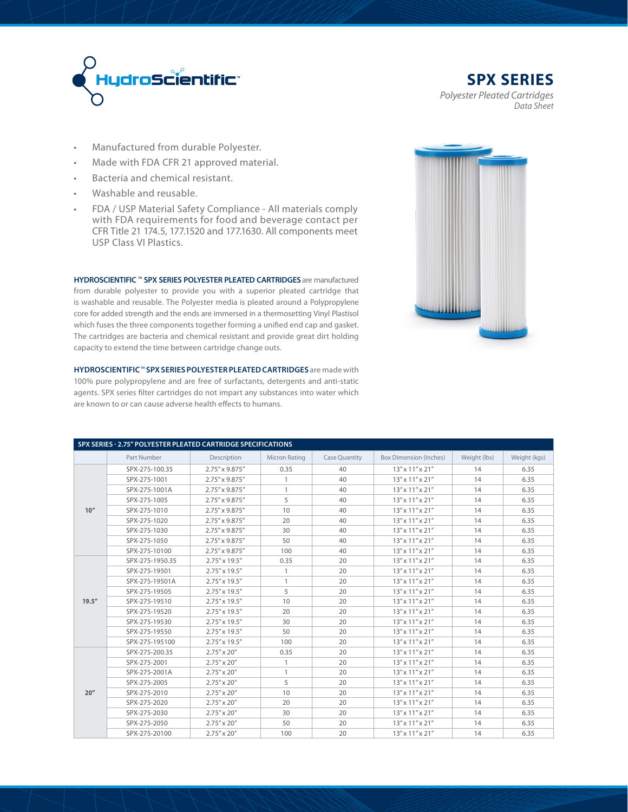

**SPX SERIES** *Polyester Pleated Cartridges Data Sheet*

- Manufactured from durable Polyester.
- Made with FDA CFR 21 approved material.
- Bacteria and chemical resistant.
- Washable and reusable.
- FDA / USP Material Safety Compliance All materials comply with FDA requirements for food and beverage contact per CFR Title 21 174.5, 177.1520 and 177.1630. All components meet USP Class VI Plastics.

**HYDROSCIENTIFIC TM SPX SERIES POLYESTER PLEATED CARTRIDGES** are manufactured from durable polyester to provide you with a superior pleated cartridge that is washable and reusable. The Polyester media is pleated around a Polypropylene core for added strength and the ends are immersed in a thermosetting Vinyl Plastisol which fuses the three components together forming a unified end cap and gasket. The cartridges are bacteria and chemical resistant and provide great dirt holding capacity to extend the time between cartridge change outs.

**HYDROSCIENTIFIC<sup>™</sup> SPX SERIES POLYESTER PLEATED CARTRIDGES** are made with 100% pure polypropylene and are free of surfactants, detergents and anti-static agents. SPX series filter cartridges do not impart any substances into water which are known to or can cause adverse health effects to humans.



| SPX SERIES - 2.75" POLYESTER PLEATED CARTRIDGE SPECIFICATIONS |                 |                        |               |                      |                                |              |              |
|---------------------------------------------------------------|-----------------|------------------------|---------------|----------------------|--------------------------------|--------------|--------------|
|                                                               | Part Number     | Description            | Micron Rating | <b>Case Quantity</b> | <b>Box Dimension (Inches)</b>  | Weight (lbs) | Weight (kgs) |
|                                                               | SPX-275-100.35  | 2.75" x 9.875"         | 0.35          | 40                   | $13''$ x $11''$ x $21''$       | 14           | 6.35         |
|                                                               | SPX-275-1001    | 2.75" x 9.875"         | $\mathbf{1}$  | 40                   | $13''$ x $11''$ x $21''$       | 14           | 6.35         |
|                                                               | SPX-275-1001A   | 2.75" x 9.875"         | $\mathbf{1}$  | 40                   | $13''$ x $11''$ x $21''$       | 14           | 6.35         |
|                                                               | SPX-275-1005    | 2.75" x 9.875"         | 5             | 40                   | $13'' \times 11'' \times 21''$ | 14           | 6.35         |
| 10''                                                          | SPX-275-1010    | 2.75" x 9.875"         | 10            | 40                   | $13''$ x $11''$ x $21''$       | 14           | 6.35         |
|                                                               | SPX-275-1020    | 2.75" x 9.875"         | 20            | 40                   | $13''$ x $11''$ x $21''$       | 14           | 6.35         |
|                                                               | SPX-275-1030    | 2.75" x 9.875"         | 30            | 40                   | $13'' \times 11'' \times 21''$ | 14           | 6.35         |
|                                                               | SPX-275-1050    | 2.75" x 9.875"         | 50            | 40                   | $13''$ x $11''$ x $21''$       | 14           | 6.35         |
|                                                               | SPX-275-10100   | 2.75" x 9.875"         | 100           | 40                   | $13''$ x $11''$ x $21''$       | 14           | 6.35         |
|                                                               | SPX-275-1950.35 | $2.75'' \times 19.5''$ | 0.35          | 20                   | $13''$ x $11''$ x $21''$       | 14           | 6.35         |
|                                                               | SPX-275-19501   | 2.75" x 19.5"          | 1             | 20                   | $13''$ x $11''$ x $21''$       | 14           | 6.35         |
|                                                               | SPX-275-19501A  | 2.75" x 19.5"          | $\mathbf{1}$  | 20                   | 13" x 11" x 21"                | 14           | 6.35         |
|                                                               | SPX-275-19505   | $2.75'' \times 19.5''$ | 5             | 20                   | $13''$ x $11''$ x $21''$       | 14           | 6.35         |
| 19.5''                                                        | SPX-275-19510   | 2.75" x 19.5"          | 10            | 20                   | 13" x 11" x 21"                | 14           | 6.35         |
|                                                               | SPX-275-19520   | 2.75" x 19.5"          | 20            | 20                   | 13" x 11" x 21"                | 14           | 6.35         |
|                                                               | SPX-275-19530   | 2.75" x 19.5"          | 30            | 20                   | $13''$ x $11''$ x $21''$       | 14           | 6.35         |
|                                                               | SPX-275-19550   | $2.75'' \times 19.5''$ | 50            | 20                   | $13''$ x $11''$ x $21''$       | 14           | 6.35         |
|                                                               | SPX-275-195100  | $2.75'' \times 19.5''$ | 100           | 20                   | $13''$ x $11''$ x $21''$       | 14           | 6.35         |
|                                                               | SPX-275-200.35  | $2.75'' \times 20''$   | 0.35          | 20                   | $13''$ x $11''$ x $21''$       | 14           | 6.35         |
|                                                               | SPX-275-2001    | $2.75'' \times 20''$   | 1             | 20                   | $13''$ x $11''$ x $21''$       | 14           | 6.35         |
|                                                               | SPX-275-2001A   | $2.75'' \times 20''$   | $\mathbf{1}$  | 20                   | 13" x 11" x 21"                | 14           | 6.35         |
|                                                               | SPX-275-2005    | $2.75'' \times 20''$   | 5             | 20                   | 13" x 11" x 21"                | 14           | 6.35         |
| 20''                                                          | SPX-275-2010    | $2.75'' \times 20''$   | 10            | 20                   | 13" x 11" x 21"                | 14           | 6.35         |
|                                                               | SPX-275-2020    | $2.75'' \times 20''$   | 20            | 20                   | $13''$ x $11''$ x $21''$       | 14           | 6.35         |
|                                                               | SPX-275-2030    | $2.75'' \times 20''$   | 30            | 20                   | 13" x 11" x 21"                | 14           | 6.35         |
|                                                               | SPX-275-2050    | $2.75'' \times 20''$   | 50            | 20                   | 13" x 11" x 21"                | 14           | 6.35         |
|                                                               | SPX-275-20100   | $2.75'' \times 20''$   | 100           | 20                   | $13''$ x $11''$ x $21''$       | 14           | 6.35         |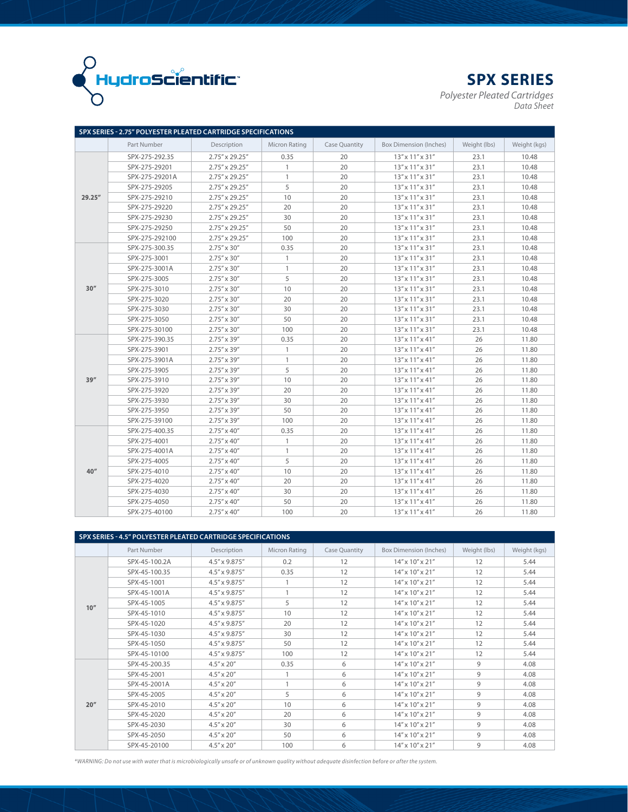

**SPX SERIES**

*Polyester Pleated Cartridges Data Sheet*

|        | SPX SERIES - 2.75" POLYESTER PLEATED CARTRIDGE SPECIFICATIONS |                      |               |               |                                |              |              |
|--------|---------------------------------------------------------------|----------------------|---------------|---------------|--------------------------------|--------------|--------------|
|        | Part Number                                                   | Description          | Micron Rating | Case Quantity | Box Dimension (Inches)         | Weight (lbs) | Weight (kgs) |
|        | SPX-275-292.35                                                | 2.75" x 29.25"       | 0.35          | 20            | $13''$ x $11''$ x $31''$       | 23.1         | 10.48        |
|        | SPX-275-29201                                                 | 2.75" x 29.25"       | $\mathbf{1}$  | 20            | $13''$ x $11''$ x $31''$       | 23.1         | 10.48        |
|        | SPX-275-29201A                                                | 2.75" x 29.25"       | $\mathbf{1}$  | 20            | $13''$ x $11''$ x $31''$       | 23.1         | 10.48        |
|        | SPX-275-29205                                                 | 2.75" x 29.25"       | 5             | 20            | $13''$ x $11''$ x $31''$       | 23.1         | 10.48        |
| 29.25" | SPX-275-29210                                                 | 2.75" x 29.25"       | 10            | 20            | 13" x 11" x 31"                | 23.1         | 10.48        |
|        | SPX-275-29220                                                 | 2.75" x 29.25"       | 20            | 20            | 13" x 11" x 31"                | 23.1         | 10.48        |
|        | SPX-275-29230                                                 | 2.75" x 29.25"       | 30            | 20            | 13" x 11" x 31"                | 23.1         | 10.48        |
|        | SPX-275-29250                                                 | 2.75" x 29.25"       | 50            | 20            | $13''$ x $11''$ x $31''$       | 23.1         | 10.48        |
|        | SPX-275-292100                                                | 2.75" x 29.25"       | 100           | 20            | $13''$ x $11''$ x $31''$       | 23.1         | 10.48        |
|        | SPX-275-300.35                                                | $2.75'' \times 30''$ | 0.35          | 20            | $13''$ x $11''$ x $31''$       | 23.1         | 10.48        |
|        | SPX-275-3001                                                  | $2.75'' \times 30''$ | $\mathbf{1}$  | 20            | $13'' \times 11'' \times 31''$ | 23.1         | 10.48        |
|        | SPX-275-3001A                                                 | $2.75'' \times 30''$ | $\mathbf{1}$  | 20            | $13''$ x $11''$ x $31''$       | 23.1         | 10.48        |
|        | SPX-275-3005                                                  | $2.75'' \times 30''$ | 5             | 20            | $13''$ x $11''$ x $31''$       | 23.1         | 10.48        |
| 30''   | SPX-275-3010                                                  | $2.75'' \times 30''$ | 10            | 20            | $13'' \times 11'' \times 31''$ | 23.1         | 10.48        |
|        | SPX-275-3020                                                  | $2.75'' \times 30''$ | 20            | 20            | $13''$ x $11''$ x $31''$       | 23.1         | 10.48        |
|        | SPX-275-3030                                                  | $2.75'' \times 30''$ | 30            | 20            | $13'' \times 11'' \times 31''$ | 23.1         | 10.48        |
|        | SPX-275-3050                                                  | $2.75'' \times 30''$ | 50            | 20            | $13''$ x $11''$ x $31''$       | 23.1         | 10.48        |
|        | SPX-275-30100                                                 | $2.75'' \times 30''$ | 100           | 20            | 13" x 11" x 31"                | 23.1         | 10.48        |
|        | SPX-275-390.35                                                | $2.75'' \times 39''$ | 0.35          | 20            | $13''$ x $11''$ x $41''$       | 26           | 11.80        |
|        | SPX-275-3901                                                  | $2.75'' \times 39''$ | $\mathbf{1}$  | 20            | $13''$ x $11''$ x $41''$       | 26           | 11.80        |
|        | SPX-275-3901A                                                 | $2.75'' \times 39''$ | $\mathbf{1}$  | 20            | $13''$ x $11''$ x $41''$       | 26           | 11.80        |
|        | SPX-275-3905                                                  | $2.75'' \times 39''$ | 5             | 20            | $13''$ x $11''$ x $41''$       | 26           | 11.80        |
| 39''   | SPX-275-3910                                                  | $2.75'' \times 39''$ | 10            | 20            | $13''$ x $11''$ x $41''$       | 26           | 11.80        |
|        | SPX-275-3920                                                  | $2.75'' \times 39''$ | 20            | 20            | $13''$ x $11''$ x $41''$       | 26           | 11.80        |
|        | SPX-275-3930                                                  | $2.75'' \times 39''$ | 30            | 20            | $13''$ x $11''$ x $41''$       | 26           | 11.80        |
|        | SPX-275-3950                                                  | $2.75'' \times 39''$ | 50            | 20            | $13'' \times 11'' \times 41''$ | 26           | 11.80        |
|        | SPX-275-39100                                                 | $2.75'' \times 39''$ | 100           | 20            | $13''$ x $11''$ x $41''$       | 26           | 11.80        |
|        | SPX-275-400.35                                                | $2.75'' \times 40''$ | 0.35          | 20            | $13''$ x $11''$ x $41''$       | 26           | 11.80        |
|        | SPX-275-4001                                                  | $2.75'' \times 40''$ | $\mathbf{1}$  | 20            | $13''$ x $11''$ x $41''$       | 26           | 11.80        |
|        | SPX-275-4001A                                                 | $2.75'' \times 40''$ | $\mathbf{1}$  | 20            | $13''$ x $11''$ x $41''$       | 26           | 11.80        |
|        | SPX-275-4005                                                  | $2.75'' \times 40''$ | 5             | 20            | $13'' \times 11'' \times 41''$ | 26           | 11.80        |
| 40''   | SPX-275-4010                                                  | $2.75'' \times 40''$ | 10            | 20            | $13''$ x $11''$ x $41''$       | 26           | 11.80        |
|        | SPX-275-4020                                                  | $2.75'' \times 40''$ | 20            | 20            | $13''$ x $11''$ x $41''$       | 26           | 11.80        |
|        | SPX-275-4030                                                  | $2.75'' \times 40''$ | 30            | 20            | $13''$ x $11''$ x $41''$       | 26           | 11.80        |
|        | SPX-275-4050                                                  | $2.75'' \times 40''$ | 50            | 20            | $13''$ x $11''$ x $41''$       | 26           | 11.80        |
|        | SPX-275-40100                                                 | $2.75'' \times 40''$ | 100           | 20            | $13''$ x $11''$ x $41''$       | 26           | 11.80        |

| SPX SERIES - 4.5" POLYESTER PLEATED CARTRIDGE SPECIFICATIONS |               |                     |               |                      |                                |              |              |  |
|--------------------------------------------------------------|---------------|---------------------|---------------|----------------------|--------------------------------|--------------|--------------|--|
|                                                              | Part Number   | Description         | Micron Rating | <b>Case Quantity</b> | <b>Box Dimension (Inches)</b>  | Weight (lbs) | Weight (kgs) |  |
|                                                              | SPX-45-100.2A | 4.5" x 9.875"       | 0.2           | 12                   | $14''$ x $10''$ x $21''$       | 12           | 5.44         |  |
|                                                              | SPX-45-100.35 | 4.5" x 9.875"       | 0.35          | 12                   | $14''$ x $10''$ x $21''$       | 12           | 5.44         |  |
|                                                              | SPX-45-1001   | 4.5" x 9.875"       |               | 12                   | $14''$ x $10''$ x $21''$       | 12           | 5.44         |  |
|                                                              | SPX-45-1001A  | 4.5" x 9.875"       | 1             | 12                   | 14" x 10" x 21"                | 12           | 5.44         |  |
| 10''                                                         | SPX-45-1005   | 4.5" x 9.875"       | 5             | 12                   | 14" x 10" x 21"                | 12           | 5.44         |  |
|                                                              | SPX-45-1010   | 4.5" x 9.875"       | 10            | 12                   | 14" x 10" x 21"                | 12           | 5.44         |  |
|                                                              | SPX-45-1020   | 4.5" x 9.875"       | 20            | 12                   | $14''$ x $10''$ x $21''$       | 12           | 5.44         |  |
|                                                              | SPX-45-1030   | 4.5" x 9.875"       | 30            | 12                   | $14''$ x $10''$ x $21''$       | 12           | 5.44         |  |
|                                                              | SPX-45-1050   | 4.5" x 9.875"       | 50            | 12                   | 14" x 10" x 21"                | 12           | 5.44         |  |
|                                                              | SPX-45-10100  | 4.5" x 9.875"       | 100           | 12                   | $14''$ x $10''$ x $21''$       | 12           | 5.44         |  |
|                                                              | SPX-45-200.35 | $4.5'' \times 20''$ | 0.35          | 6                    | $14''$ x $10''$ x $21''$       | 9            | 4.08         |  |
|                                                              | SPX-45-2001   | $4.5'' \times 20''$ |               | 6                    | 14" x 10" x 21"                | 9            | 4.08         |  |
|                                                              | SPX-45-2001A  | $4.5'' \times 20''$ | 1             | 6                    | 14" x 10" x 21"                | 9            | 4.08         |  |
|                                                              | SPX-45-2005   | $4.5'' \times 20''$ | 5             | 6                    | $14''$ x $10''$ x $21''$       | 9            | 4.08         |  |
| 20''                                                         | SPX-45-2010   | $4.5'' \times 20''$ | 10            | 6                    | $14''$ x $10''$ x $21''$       | 9            | 4.08         |  |
|                                                              | SPX-45-2020   | $4.5'' \times 20''$ | 20            | 6                    | 14" x 10" x 21"                | 9            | 4.08         |  |
|                                                              | SPX-45-2030   | $4.5'' \times 20''$ | 30            | 6                    | $14'' \times 10'' \times 21''$ | 9            | 4.08         |  |
|                                                              | SPX-45-2050   | $4.5'' \times 20''$ | 50            | 6                    | $14''$ x $10''$ x $21''$       | 9            | 4.08         |  |
|                                                              | SPX-45-20100  | $4.5'' \times 20''$ | 100           | 6                    | $14''$ x $10''$ x $21''$       | 9            | 4.08         |  |

*\*WARNING: Do not use with water that is microbiologically unsafe or of unknown quality without adequate disinfection before or after the system.*